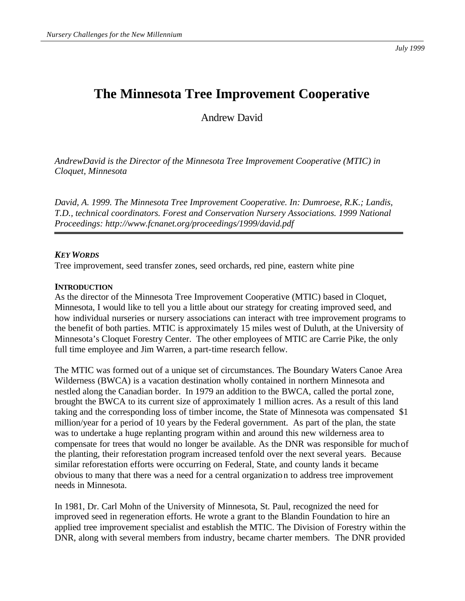*July 1999*

## **The Minnesota Tree Improvement Cooperative**

Andrew David

*AndrewDavid is the Director of the Minnesota Tree Improvement Cooperative (MTIC) in Cloquet, Minnesota*

*David, A. 1999. The Minnesota Tree Improvement Cooperative. In: Dumroese, R.K.; Landis, T.D., technical coordinators. Forest and Conservation Nursery Associations. 1999 National Proceedings: http://www.fcnanet.org/proceedings/1999/david.pdf*

## *KEY WORDS*

Tree improvement, seed transfer zones, seed orchards, red pine, eastern white pine

## **INTRODUCTION**

As the director of the Minnesota Tree Improvement Cooperative (MTIC) based in Cloquet, Minnesota, I would like to tell you a little about our strategy for creating improved seed, and how individual nurseries or nursery associations can interact with tree improvement programs to the benefit of both parties. MTIC is approximately 15 miles west of Duluth, at the University of Minnesota's Cloquet Forestry Center. The other employees of MTIC are Carrie Pike, the only full time employee and Jim Warren, a part-time research fellow.

The MTIC was formed out of a unique set of circumstances. The Boundary Waters Canoe Area Wilderness (BWCA) is a vacation destination wholly contained in northern Minnesota and nestled along the Canadian border. In 1979 an addition to the BWCA, called the portal zone, brought the BWCA to its current size of approximately 1 million acres. As a result of this land taking and the corresponding loss of timber income, the State of Minnesota was compensated \$1 million/year for a period of 10 years by the Federal government. As part of the plan, the state was to undertake a huge replanting program within and around this new wilderness area to compensate for trees that would no longer be available. As the DNR was responsible for much of the planting, their reforestation program increased tenfold over the next several years. Because similar reforestation efforts were occurring on Federal, State, and county lands it became obvious to many that there was a need for a central organization to address tree improvement needs in Minnesota.

In 1981, Dr. Carl Mohn of the University of Minnesota, St. Paul, recognized the need for improved seed in regeneration efforts. He wrote a grant to the Blandin Foundation to hire an applied tree improvement specialist and establish the MTIC. The Division of Forestry within the DNR, along with several members from industry, became charter members. The DNR provided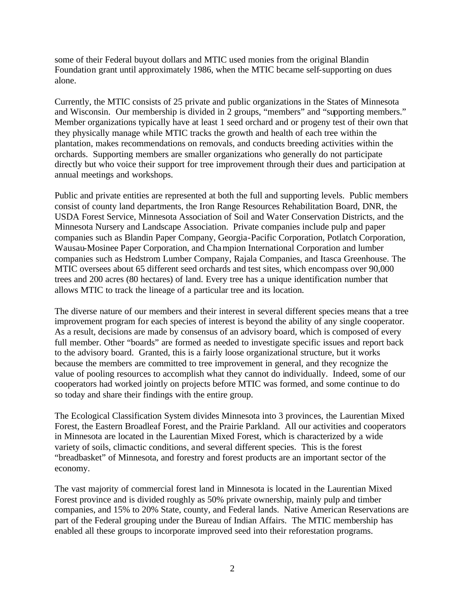some of their Federal buyout dollars and MTIC used monies from the original Blandin Foundation grant until approximately 1986, when the MTIC became self-supporting on dues alone.

Currently, the MTIC consists of 25 private and public organizations in the States of Minnesota and Wisconsin. Our membership is divided in 2 groups, "members" and "supporting members." Member organizations typically have at least 1 seed orchard and or progeny test of their own that they physically manage while MTIC tracks the growth and health of each tree within the plantation, makes recommendations on removals, and conducts breeding activities within the orchards. Supporting members are smaller organizations who generally do not participate directly but who voice their support for tree improvement through their dues and participation at annual meetings and workshops.

Public and private entities are represented at both the full and supporting levels. Public members consist of county land departments, the Iron Range Resources Rehabilitation Board, DNR, the USDA Forest Service, Minnesota Association of Soil and Water Conservation Districts, and the Minnesota Nursery and Landscape Association. Private companies include pulp and paper companies such as Blandin Paper Company, Georgia-Pacific Corporation, Potlatch Corporation, Wausau-Mosinee Paper Corporation, and Champion International Corporation and lumber companies such as Hedstrom Lumber Company, Rajala Companies, and Itasca Greenhouse. The MTIC oversees about 65 different seed orchards and test sites, which encompass over 90,000 trees and 200 acres (80 hectares) of land. Every tree has a unique identification number that allows MTIC to track the lineage of a particular tree and its location.

The diverse nature of our members and their interest in several different species means that a tree improvement program for each species of interest is beyond the ability of any single cooperator. As a result, decisions are made by consensus of an advisory board, which is composed of every full member. Other "boards" are formed as needed to investigate specific issues and report back to the advisory board. Granted, this is a fairly loose organizational structure, but it works because the members are committed to tree improvement in general, and they recognize the value of pooling resources to accomplish what they cannot do individually. Indeed, some of our cooperators had worked jointly on projects before MTIC was formed, and some continue to do so today and share their findings with the entire group.

The Ecological Classification System divides Minnesota into 3 provinces, the Laurentian Mixed Forest, the Eastern Broadleaf Forest, and the Prairie Parkland. All our activities and cooperators in Minnesota are located in the Laurentian Mixed Forest, which is characterized by a wide variety of soils, climactic conditions, and several different species. This is the forest "breadbasket" of Minnesota, and forestry and forest products are an important sector of the economy.

The vast majority of commercial forest land in Minnesota is located in the Laurentian Mixed Forest province and is divided roughly as 50% private ownership, mainly pulp and timber companies, and 15% to 20% State, county, and Federal lands. Native American Reservations are part of the Federal grouping under the Bureau of Indian Affairs. The MTIC membership has enabled all these groups to incorporate improved seed into their reforestation programs.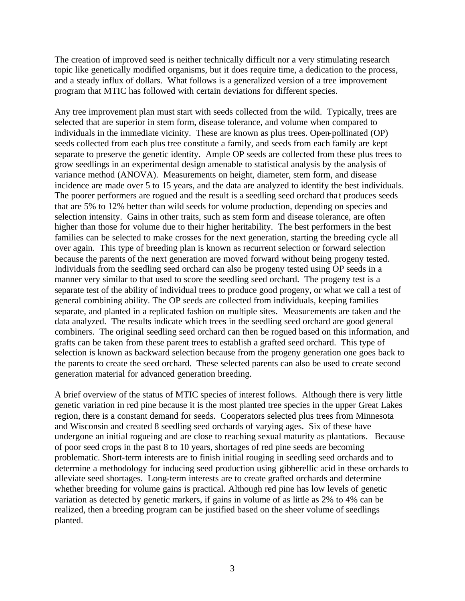The creation of improved seed is neither technically difficult nor a very stimulating research topic like genetically modified organisms, but it does require time, a dedication to the process, and a steady influx of dollars. What follows is a generalized version of a tree improvement program that MTIC has followed with certain deviations for different species.

Any tree improvement plan must start with seeds collected from the wild. Typically, trees are selected that are superior in stem form, disease tolerance, and volume when compared to individuals in the immediate vicinity. These are known as plus trees. Open-pollinated (OP) seeds collected from each plus tree constitute a family, and seeds from each family are kept separate to preserve the genetic identity. Ample OP seeds are collected from these plus trees to grow seedlings in an experimental design amenable to statistical analysis by the analysis of variance method (ANOVA). Measurements on height, diameter, stem form, and disease incidence are made over 5 to 15 years, and the data are analyzed to identify the best individuals. The poorer performers are rogued and the result is a seedling seed orchard that produces seeds that are 5% to 12% better than wild seeds for volume production, depending on species and selection intensity. Gains in other traits, such as stem form and disease tolerance, are often higher than those for volume due to their higher heritability. The best performers in the best families can be selected to make crosses for the next generation, starting the breeding cycle all over again. This type of breeding plan is known as recurrent selection or forward selection because the parents of the next generation are moved forward without being progeny tested. Individuals from the seedling seed orchard can also be progeny tested using OP seeds in a manner very similar to that used to score the seedling seed orchard. The progeny test is a separate test of the ability of individual trees to produce good progeny, or what we call a test of general combining ability. The OP seeds are collected from individuals, keeping families separate, and planted in a replicated fashion on multiple sites. Measurements are taken and the data analyzed. The results indicate which trees in the seedling seed orchard are good general combiners. The original seedling seed orchard can then be rogued based on this information, and grafts can be taken from these parent trees to establish a grafted seed orchard. This type of selection is known as backward selection because from the progeny generation one goes back to the parents to create the seed orchard. These selected parents can also be used to create second generation material for advanced generation breeding.

A brief overview of the status of MTIC species of interest follows. Although there is very little genetic variation in red pine because it is the most planted tree species in the upper Great Lakes region, there is a constant demand for seeds. Cooperators selected plus trees from Minnesota and Wisconsin and created 8 seedling seed orchards of varying ages. Six of these have undergone an initial rogueing and are close to reaching sexual maturity as plantations. Because of poor seed crops in the past 8 to 10 years, shortages of red pine seeds are becoming problematic. Short-term interests are to finish initial rouging in seedling seed orchards and to determine a methodology for inducing seed production using gibberellic acid in these orchards to alleviate seed shortages. Long-term interests are to create grafted orchards and determine whether breeding for volume gains is practical. Although red pine has low levels of genetic variation as detected by genetic markers, if gains in volume of as little as 2% to 4% can be realized, then a breeding program can be justified based on the sheer volume of seedlings planted.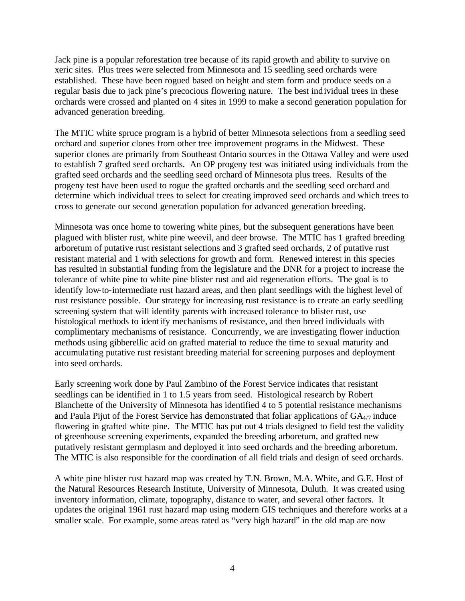Jack pine is a popular reforestation tree because of its rapid growth and ability to survive on xeric sites. Plus trees were selected from Minnesota and 15 seedling seed orchards were established. These have been rogued based on height and stem form and produce seeds on a regular basis due to jack pine's precocious flowering nature. The best individual trees in these orchards were crossed and planted on 4 sites in 1999 to make a second generation population for advanced generation breeding.

The MTIC white spruce program is a hybrid of better Minnesota selections from a seedling seed orchard and superior clones from other tree improvement programs in the Midwest. These superior clones are primarily from Southeast Ontario sources in the Ottawa Valley and were used to establish 7 grafted seed orchards. An OP progeny test was initiated using individuals from the grafted seed orchards and the seedling seed orchard of Minnesota plus trees. Results of the progeny test have been used to rogue the grafted orchards and the seedling seed orchard and determine which individual trees to select for creating improved seed orchards and which trees to cross to generate our second generation population for advanced generation breeding.

Minnesota was once home to towering white pines, but the subsequent generations have been plagued with blister rust, white pine weevil, and deer browse. The MTIC has 1 grafted breeding arboretum of putative rust resistant selections and 3 grafted seed orchards, 2 of putative rust resistant material and 1 with selections for growth and form. Renewed interest in this species has resulted in substantial funding from the legislature and the DNR for a project to increase the tolerance of white pine to white pine blister rust and aid regeneration efforts. The goal is to identify low-to-intermediate rust hazard areas, and then plant seedlings with the highest level of rust resistance possible. Our strategy for increasing rust resistance is to create an early seedling screening system that will identify parents with increased tolerance to blister rust, use histological methods to identify mechanisms of resistance, and then breed individuals with complimentary mechanisms of resistance. Concurrently, we are investigating flower induction methods using gibberellic acid on grafted material to reduce the time to sexual maturity and accumulating putative rust resistant breeding material for screening purposes and deployment into seed orchards.

Early screening work done by Paul Zambino of the Forest Service indicates that resistant seedlings can be identified in 1 to 1.5 years from seed. Histological research by Robert Blanchette of the University of Minnesota has identified 4 to 5 potential resistance mechanisms and Paula Pijut of the Forest Service has demonstrated that foliar applications of  $GA_{4/7}$  induce flowering in grafted white pine. The MTIC has put out 4 trials designed to field test the validity of greenhouse screening experiments, expanded the breeding arboretum, and grafted new putatively resistant germplasm and deployed it into seed orchards and the breeding arboretum. The MTIC is also responsible for the coordination of all field trials and design of seed orchards.

A white pine blister rust hazard map was created by T.N. Brown, M.A. White, and G.E. Host of the Natural Resources Research Institute, University of Minnesota, Duluth. It was created using inventory information, climate, topography, distance to water, and several other factors. It updates the original 1961 rust hazard map using modern GIS techniques and therefore works at a smaller scale. For example, some areas rated as "very high hazard" in the old map are now